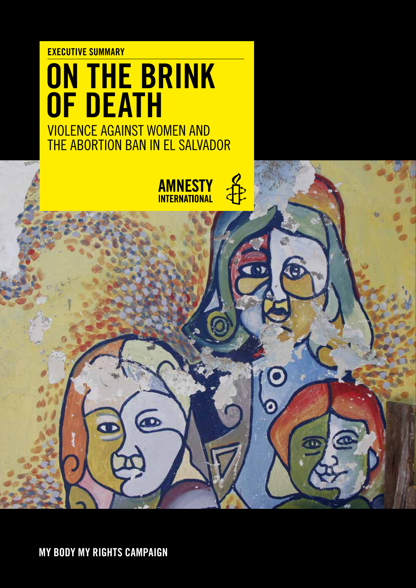

MY BODY MY RIGHTS CAMPAIGN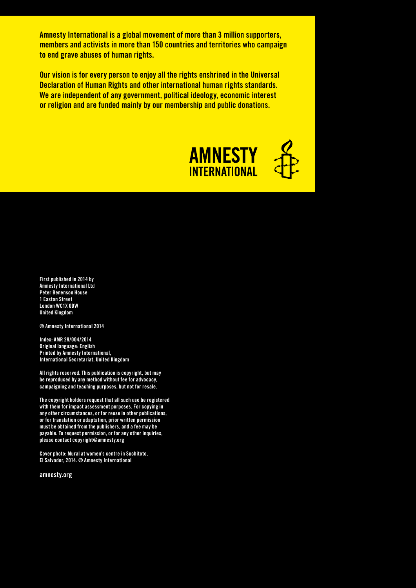Amnesty International is a global movement of more than 3 million supporters, members and activists in more than 150 countries and territories who campaign to end grave abuses of human rights.

Our vision is for every person to enjoy all the rights enshrined in the Universal Declaration of Human Rights and other international human rights standards. We are independent of any government, political ideology, economic interest or religion and are funded mainly by our membership and public donations.



First published in 2014 by Amnesty International Ltd Peter Benenson House 1 Easton Street London WC1X 0DW United Kingdom

© Amnesty International 2014

Index: AMR 29/004/2014 Original language: English Printed by Amnesty International, International Secretariat, United Kingdom

All rights reserved. This publication is copyright, but may be reproduced by any method without fee for advocacy, campaigning and teaching purposes, but not for resale.

The copyright holders request that all such use be registered with them for impact assessment purposes. For copying in any other circumstances, or for reuse in other publications, or for translation or adaptation, prior written permission must be obtained from the publishers, and a fee may be payable. To request permission, or for any other inquiries, please contact copyright@amnesty.org

Cover photo: Mural at women's centre in Suchitoto, El Salvador, 2014. © Amnesty International

amnesty.org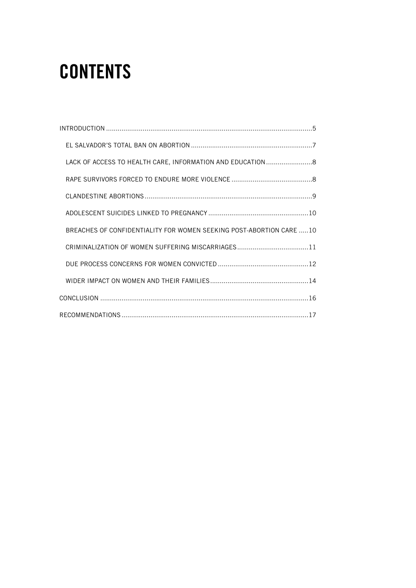## **CONTENTS**

| BREACHES OF CONFIDENTIALITY FOR WOMEN SEEKING POST-ABORTION CARE 10 |  |
|---------------------------------------------------------------------|--|
| CRIMINALIZATION OF WOMEN SUFFERING MISCARRIAGES11                   |  |
|                                                                     |  |
|                                                                     |  |
|                                                                     |  |
|                                                                     |  |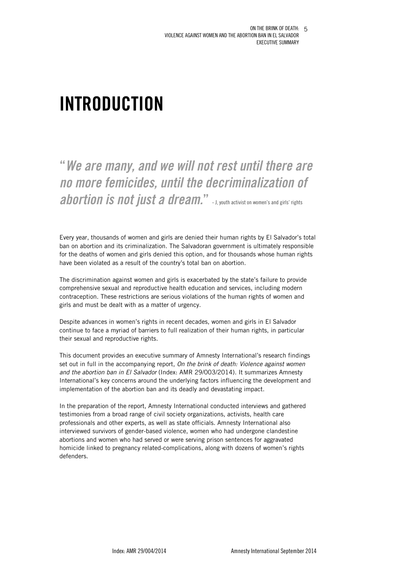### INTRODUCTION

"*We are many, and we will not rest until there are no more femicides, until the decriminalization of abortion is not just a dream.*" - J, youth activist on women's and girls' rights

Every year, thousands of women and girls are denied their human rights by El Salvador's total ban on abortion and its criminalization. The Salvadoran government is ultimately responsible for the deaths of women and girls denied this option, and for thousands whose human rights have been violated as a result of the country's total ban on abortion.

The discrimination against women and girls is exacerbated by the state's failure to provide comprehensive sexual and reproductive health education and services, including modern contraception. These restrictions are serious violations of the human rights of women and girls and must be dealt with as a matter of urgency.

Despite advances in women's rights in recent decades, women and girls in El Salvador continue to face a myriad of barriers to full realization of their human rights, in particular their sexual and reproductive rights.

This document provides an executive summary of Amnesty International's research findings set out in full in the accompanying report, *On the brink of death: Violence against women and the abortion ban in El Salvador* (Index: AMR 29/003/2014). It summarizes Amnesty International's key concerns around the underlying factors influencing the development and implementation of the abortion ban and its deadly and devastating impact.

In the preparation of the report, Amnesty International conducted interviews and gathered testimonies from a broad range of civil society organizations, activists, health care professionals and other experts, as well as state officials. Amnesty International also interviewed survivors of gender-based violence, women who had undergone clandestine abortions and women who had served or were serving prison sentences for aggravated homicide linked to pregnancy related-complications, along with dozens of women's rights defenders.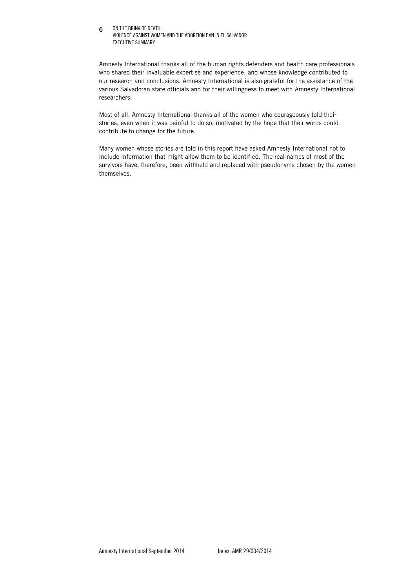Amnesty International thanks all of the human rights defenders and health care professionals who shared their invaluable expertise and experience, and whose knowledge contributed to our research and conclusions. Amnesty International is also grateful for the assistance of the various Salvadoran state officials and for their willingness to meet with Amnesty International researchers.

Most of all, Amnesty International thanks all of the women who courageously told their stories, even when it was painful to do so, motivated by the hope that their words could contribute to change for the future.

Many women whose stories are told in this report have asked Amnesty International not to include information that might allow them to be identified. The real names of most of the survivors have, therefore, been withheld and replaced with pseudonyms chosen by the women themselves.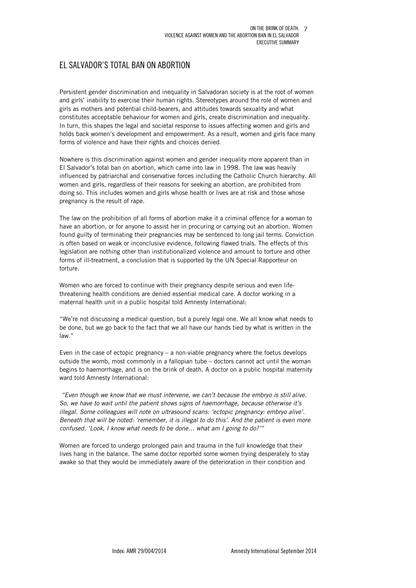#### EL SALVADOR'S TOTAL BAN ON ABORTION

Persistent gender discrimination and inequality in Salvadoran society is at the root of women and girls' inability to exercise their human rights. Stereotypes around the role of women and girls as mothers and potential child-bearers, and attitudes towards sexuality and what constitutes acceptable behaviour for women and girls, create discrimination and inequality. In turn, this shapes the legal and societal response to issues affecting women and girls and holds back women's development and empowerment. As a result, women and girls face many forms of violence and have their rights and choices denied.

Nowhere is this discrimination against women and gender inequality more apparent than in El Salvador's total ban on abortion, which came into law in 1998. The law was heavily influenced by patriarchal and conservative forces including the Catholic Church hierarchy. All women and girls, regardless of their reasons for seeking an abortion, are prohibited from doing so. This includes women and girls whose health or lives are at risk and those whose pregnancy is the result of rape.

The law on the prohibition of all forms of abortion make it a criminal offence for a woman to have an abortion, or for anyone to assist her in procuring or carrying out an abortion. Women found guilty of terminating their pregnancies may be sentenced to long jail terms. Conviction is often based on weak or inconclusive evidence, following flawed trials. The effects of this legislation are nothing other than institutionalized violence and amount to torture and other forms of ill-treatment, a conclusion that is supported by the UN Special Rapporteur on torture.

Women who are forced to continue with their pregnancy despite serious and even lifethreatening health conditions are denied essential medical care. A doctor working in a maternal health unit in a public hospital told Amnesty International:

"We're not discussing a medical question, but a purely legal one. We all know what needs to be done, but we go back to the fact that we all have our hands tied by what is written in the law."

Even in the case of ectopic pregnancy – a non-viable pregnancy where the foetus develops outside the womb, most commonly in a fallopian tube – doctors cannot act until the woman begins to haemorrhage, and is on the brink of death. A doctor on a public hospital maternity ward told Amnesty International:

*"Even though we know that we must intervene, we can't because the embryo is still alive. So, we have to wait until the patient shows signs of haemorrhage, because otherwise it's illegal. Some colleagues will note on ultrasound scans: 'ectopic pregnancy: embryo alive'. Beneath that will be noted: 'remember, it is illegal to do this'. And the patient is even more confused. 'Look, I know what needs to be done… what am I going to do?'"*

Women are forced to undergo prolonged pain and trauma in the full knowledge that their lives hang in the balance. The same doctor reported some women trying desperately to stay awake so that they would be immediately aware of the deterioration in their condition and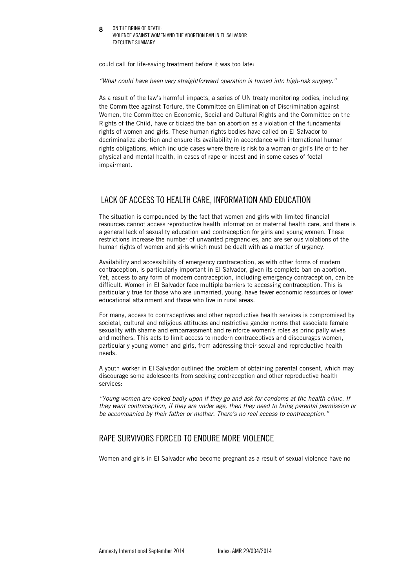could call for life-saving treatment before it was too late:

#### *"What could have been very straightforward operation is turned into high-risk surgery."*

As a result of the law's harmful impacts, a series of UN treaty monitoring bodies, including the Committee against Torture, the Committee on Elimination of Discrimination against Women, the Committee on Economic, Social and Cultural Rights and the Committee on the Rights of the Child, have criticized the ban on abortion as a violation of the fundamental rights of women and girls. These human rights bodies have called on El Salvador to decriminalize abortion and ensure its availability in accordance with international human rights obligations, which include cases where there is risk to a woman or girl's life or to her physical and mental health, in cases of rape or incest and in some cases of foetal impairment.

#### LACK OF ACCESS TO HEALTH CARE, INFORMATION AND EDUCATION

The situation is compounded by the fact that women and girls with limited financial resources cannot access reproductive health information or maternal health care, and there is a general lack of sexuality education and contraception for girls and young women. These restrictions increase the number of unwanted pregnancies, and are serious violations of the human rights of women and girls which must be dealt with as a matter of urgency.

Availability and accessibility of emergency contraception, as with other forms of modern contraception, is particularly important in El Salvador, given its complete ban on abortion. Yet, access to any form of modern contraception, including emergency contraception, can be difficult. Women in El Salvador face multiple barriers to accessing contraception. This is particularly true for those who are unmarried, young, have fewer economic resources or lower educational attainment and those who live in rural areas.

For many, access to contraceptives and other reproductive health services is compromised by societal, cultural and religious attitudes and restrictive gender norms that associate female sexuality with shame and embarrassment and reinforce women's roles as principally wives and mothers. This acts to limit access to modern contraceptives and discourages women, particularly young women and girls, from addressing their sexual and reproductive health needs.

A youth worker in El Salvador outlined the problem of obtaining parental consent, which may discourage some adolescents from seeking contraception and other reproductive health services:

*"Young women are looked badly upon if they go and ask for condoms at the health clinic. If they want contraception, if they are under age, then they need to bring parental permission or be accompanied by their father or mother. There's no real access to contraception."*

#### RAPE SURVIVORS FORCED TO ENDURE MORE VIOLENCE

Women and girls in El Salvador who become pregnant as a result of sexual violence have no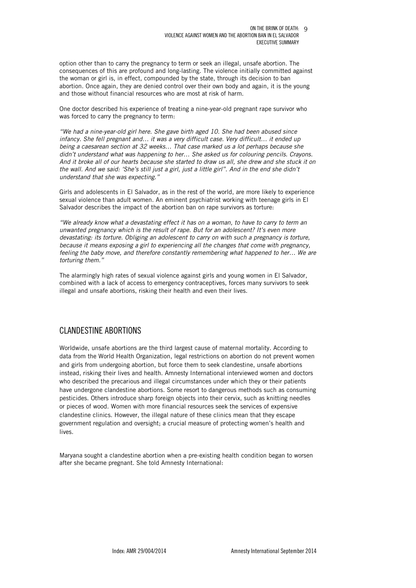option other than to carry the pregnancy to term or seek an illegal, unsafe abortion. The consequences of this are profound and long-lasting. The violence initially committed against the woman or girl is, in effect, compounded by the state, through its decision to ban abortion. Once again, they are denied control over their own body and again, it is the young and those without financial resources who are most at risk of harm.

One doctor described his experience of treating a nine-year-old pregnant rape survivor who was forced to carry the pregnancy to term:

*"We had a nine-year-old girl here. She gave birth aged 10. She had been abused since infancy. She fell pregnant and… it was a very difficult case. Very difficult… it ended up being a caesarean section at 32 weeks… That case marked us a lot perhaps because she didn't understand what was happening to her… She asked us for colouring pencils. Crayons. And it broke all of our hearts because she started to draw us all, she drew and she stuck it on the wall. And we said: 'She's still just a girl, just a little girl". And in the end she didn't understand that she was expecting."* 

Girls and adolescents in El Salvador, as in the rest of the world, are more likely to experience sexual violence than adult women. An eminent psychiatrist working with teenage girls in El Salvador describes the impact of the abortion ban on rape survivors as torture:

*"We already know what a devastating effect it has on a woman, to have to carry to term an unwanted pregnancy which is the result of rape. But for an adolescent? It's even more devastating: its torture. Obliging an adolescent to carry on with such a pregnancy is torture, because it means exposing a girl to experiencing all the changes that come with pregnancy, feeling the baby move, and therefore constantly remembering what happened to her… We are torturing them."* 

The alarmingly high rates of sexual violence against girls and young women in El Salvador, combined with a lack of access to emergency contraceptives, forces many survivors to seek illegal and unsafe abortions, risking their health and even their lives.

#### CLANDESTINE ABORTIONS

Worldwide, unsafe abortions are the third largest cause of maternal mortality. According to data from the World Health Organization, legal restrictions on abortion do not prevent women and girls from undergoing abortion, but force them to seek clandestine, unsafe abortions instead, risking their lives and health. Amnesty International interviewed women and doctors who described the precarious and illegal circumstances under which they or their patients have undergone clandestine abortions. Some resort to dangerous methods such as consuming pesticides. Others introduce sharp foreign objects into their cervix, such as knitting needles or pieces of wood. Women with more financial resources seek the services of expensive clandestine clinics. However, the illegal nature of these clinics mean that they escape government regulation and oversight; a crucial measure of protecting women's health and lives.

Maryana sought a clandestine abortion when a pre-existing health condition began to worsen after she became pregnant. She told Amnesty International: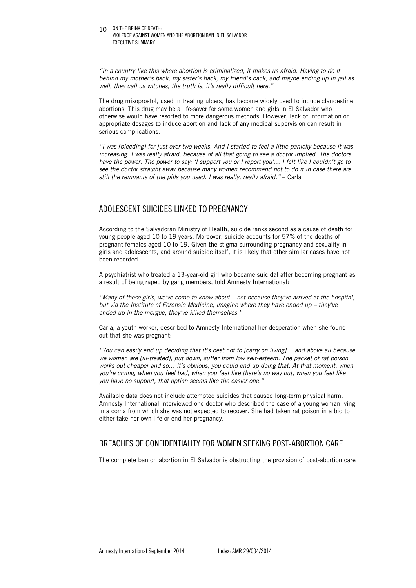*"In a country like this where abortion is criminalized, it makes us afraid. Having to do it behind my mother's back, my sister's back, my friend's back, and maybe ending up in jail as well, they call us witches, the truth is, it's really difficult here."* 

The drug misoprostol, used in treating ulcers, has become widely used to induce clandestine abortions. This drug may be a life-saver for some women and girls in El Salvador who otherwise would have resorted to more dangerous methods. However, lack of information on appropriate dosages to induce abortion and lack of any medical supervision can result in serious complications.

*"I was [bleeding] for just over two weeks. And I started to feel a little panicky because it was increasing. I was really afraid, because of all that going to see a doctor implied. The doctors have the power. The power to say: 'I support you or I report you'… I felt like I couldn't go to see the doctor straight away because many women recommend not to do it in case there are*  still the remnants of the pills you used. I was really, really afraid." - Carla

#### ADOLESCENT SUICIDES LINKED TO PREGNANCY

According to the Salvadoran Ministry of Health, suicide ranks second as a cause of death for young people aged 10 to 19 years. Moreover, suicide accounts for 57% of the deaths of pregnant females aged 10 to 19. Given the stigma surrounding pregnancy and sexuality in girls and adolescents, and around suicide itself, it is likely that other similar cases have not been recorded.

A psychiatrist who treated a 13-year-old girl who became suicidal after becoming pregnant as a result of being raped by gang members, told Amnesty International:

*"Many of these girls, we've come to know about – not because they've arrived at the hospital, but via the Institute of Forensic Medicine, imagine where they have ended up – they've ended up in the morgue, they've killed themselves."*

Carla, a youth worker, described to Amnesty International her desperation when she found out that she was pregnant:

*"You can easily end up deciding that it's best not to [carry on living]… and above all because we women are [ill-treated], put down, suffer from low self-esteem. The packet of rat poison works out cheaper and so… it's obvious, you could end up doing that. At that moment, when you're crying, when you feel bad, when you feel like there's no way out, when you feel like you have no support, that option seems like the easier one."*

Available data does not include attempted suicides that caused long-term physical harm. Amnesty International interviewed one doctor who described the case of a young woman lying in a coma from which she was not expected to recover. She had taken rat poison in a bid to either take her own life or end her pregnancy.

#### BREACHES OF CONFIDENTIALITY FOR WOMEN SEEKING POST-ABORTION CARE

The complete ban on abortion in El Salvador is obstructing the provision of post-abortion care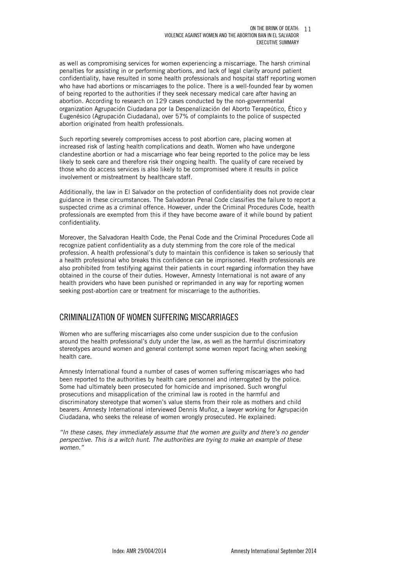as well as compromising services for women experiencing a miscarriage. The harsh criminal penalties for assisting in or performing abortions, and lack of legal clarity around patient confidentiality, have resulted in some health professionals and hospital staff reporting women who have had abortions or miscarriages to the police. There is a well-founded fear by women of being reported to the authorities if they seek necessary medical care after having an abortion. According to research on 129 cases conducted by the non-governmental organization Agrupación Ciudadana por la Despenalización del Aborto Terapeútico, Ético y Eugenésico (Agrupación Ciudadana), over 57% of complaints to the police of suspected abortion originated from health professionals.

Such reporting severely compromises access to post abortion care, placing women at increased risk of lasting health complications and death. Women who have undergone clandestine abortion or had a miscarriage who fear being reported to the police may be less likely to seek care and therefore risk their ongoing health. The quality of care received by those who do access services is also likely to be compromised where it results in police involvement or mistreatment by healthcare staff.

Additionally, the law in El Salvador on the protection of confidentiality does not provide clear guidance in these circumstances. The Salvadoran Penal Code classifies the failure to report a suspected crime as a criminal offence. However, under the Criminal Procedures Code, health professionals are exempted from this if they have become aware of it while bound by patient confidentiality.

Moreover, the Salvadoran Health Code, the Penal Code and the Criminal Procedures Code all recognize patient confidentiality as a duty stemming from the core role of the medical profession. A health professional's duty to maintain this confidence is taken so seriously that a health professional who breaks this confidence can be imprisoned. Health professionals are also prohibited from testifying against their patients in court regarding information they have obtained in the course of their duties. However, Amnesty International is not aware of any health providers who have been punished or reprimanded in any way for reporting women seeking post-abortion care or treatment for miscarriage to the authorities.

#### CRIMINALIZATION OF WOMEN SUFFERING MISCARRIAGES

Women who are suffering miscarriages also come under suspicion due to the confusion around the health professional's duty under the law, as well as the harmful discriminatory stereotypes around women and general contempt some women report facing when seeking health care.

Amnesty International found a number of cases of women suffering miscarriages who had been reported to the authorities by health care personnel and interrogated by the police. Some had ultimately been prosecuted for homicide and imprisoned. Such wrongful prosecutions and misapplication of the criminal law is rooted in the harmful and discriminatory stereotype that women's value stems from their role as mothers and child bearers. Amnesty International interviewed Dennis Muñoz, a lawyer working for Agrupación Ciudadana, who seeks the release of women wrongly prosecuted. He explained:

*"In these cases, they immediately assume that the women are guilty and there's no gender perspective. This is a witch hunt. The authorities are trying to make an example of these women."*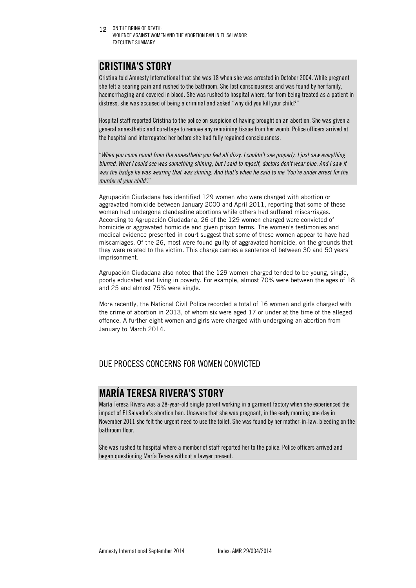#### CRISTINA'S STORY

Cristina told Amnesty International that she was 18 when she was arrested in October 2004. While pregnant she felt a searing pain and rushed to the bathroom. She lost consciousness and was found by her family, haemorrhaging and covered in blood. She was rushed to hospital where, far from being treated as a patient in distress, she was accused of being a criminal and asked "why did you kill your child?"

Hospital staff reported Cristina to the police on suspicion of having brought on an abortion. She was given a general anaesthetic and curettage to remove any remaining tissue from her womb. Police officers arrived at the hospital and interrogated her before she had fully regained consciousness.

"*When you come round from the anaesthetic you feel all dizzy. I couldn't see properly, I just saw everything blurred. What I could see was something shining, but I said to myself, doctors don't wear blue. And I saw it was the badge he was wearing that was shining. And that's when he said to me 'You're under arrest for the murder of your child'*."

Agrupación Ciudadana has identified 129 women who were charged with abortion or aggravated homicide between January 2000 and April 2011, reporting that some of these women had undergone clandestine abortions while others had suffered miscarriages. According to Agrupación Ciudadana, 26 of the 129 women charged were convicted of homicide or aggravated homicide and given prison terms. The women's testimonies and medical evidence presented in court suggest that some of these women appear to have had miscarriages. Of the 26, most were found guilty of aggravated homicide, on the grounds that they were related to the victim. This charge carries a sentence of between 30 and 50 years' imprisonment.

Agrupación Ciudadana also noted that the 129 women charged tended to be young, single, poorly educated and living in poverty. For example, almost 70% were between the ages of 18 and 25 and almost 75% were single.

More recently, the National Civil Police recorded a total of 16 women and girls charged with the crime of abortion in 2013, of whom six were aged 17 or under at the time of the alleged offence. A further eight women and girls were charged with undergoing an abortion from January to March 2014.

#### DUE PROCESS CONCERNS FOR WOMEN CONVICTED

#### MARÍA TERESA RIVERA'S STORY

María Teresa Rivera was a 28-year-old single parent working in a garment factory when she experienced the impact of El Salvador's abortion ban. Unaware that she was pregnant, in the early morning one day in November 2011 she felt the urgent need to use the toilet. She was found by her mother-in-law, bleeding on the bathroom floor.

She was rushed to hospital where a member of staff reported her to the police. Police officers arrived and began questioning María Teresa without a lawyer present.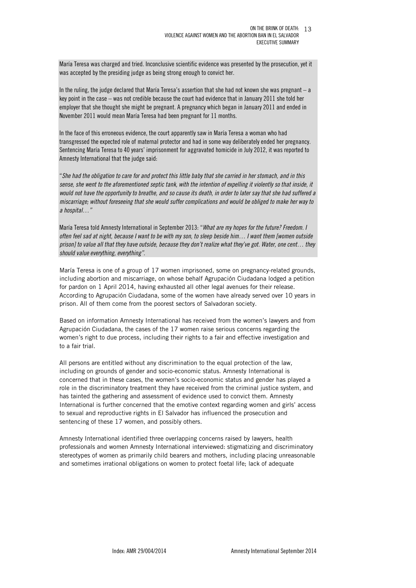María Teresa was charged and tried. Inconclusive scientific evidence was presented by the prosecution, yet it was accepted by the presiding judge as being strong enough to convict her.

In the ruling, the judge declared that María Teresa's assertion that she had not known she was pregnant – a key point in the case – was not credible because the court had evidence that in January 2011 she told her employer that she thought she might be pregnant. A pregnancy which began in January 2011 and ended in November 2011 would mean María Teresa had been pregnant for 11 months.

In the face of this erroneous evidence, the court apparently saw in María Teresa a woman who had transgressed the expected role of maternal protector and had in some way deliberately ended her pregnancy. Sentencing María Teresa to 40 years' imprisonment for aggravated homicide in July 2012, it was reported to Amnesty International that the judge said:

"*She had the obligation to care for and protect this little baby that she carried in her stomach, and in this sense, she went to the aforementioned septic tank, with the intention of expelling it violently so that inside, it would not have the opportunity to breathe, and so cause its death, in order to later say that she had suffered a miscarriage; without foreseeing that she would suffer complications and would be obliged to make her way to a hospital…"* 

María Teresa told Amnesty International in September 2013: "*What are my hopes for the future? Freedom. I often feel sad at night, because I want to be with my son, to sleep beside him… I want them [women outside prison] to value all that they have outside, because they don't realize what they've got. Water, one cent… they should value everything, everything"*.

María Teresa is one of a group of 17 women imprisoned, some on pregnancy-related grounds, including abortion and miscarriage, on whose behalf Agrupación Ciudadana lodged a petition for pardon on 1 April 2014, having exhausted all other legal avenues for their release. According to Agrupación Ciudadana, some of the women have already served over 10 years in prison. All of them come from the poorest sectors of Salvadoran society.

Based on information Amnesty International has received from the women's lawyers and from Agrupación Ciudadana, the cases of the 17 women raise serious concerns regarding the women's right to due process, including their rights to a fair and effective investigation and to a fair trial.

All persons are entitled without any discrimination to the equal protection of the law, including on grounds of gender and socio-economic status. Amnesty International is concerned that in these cases, the women's socio-economic status and gender has played a role in the discriminatory treatment they have received from the criminal justice system, and has tainted the gathering and assessment of evidence used to convict them. Amnesty International is further concerned that the emotive context regarding women and girls' access to sexual and reproductive rights in El Salvador has influenced the prosecution and sentencing of these 17 women, and possibly others.

Amnesty International identified three overlapping concerns raised by lawyers, health professionals and women Amnesty International interviewed: stigmatizing and discriminatory stereotypes of women as primarily child bearers and mothers, including placing unreasonable and sometimes irrational obligations on women to protect foetal life; lack of adequate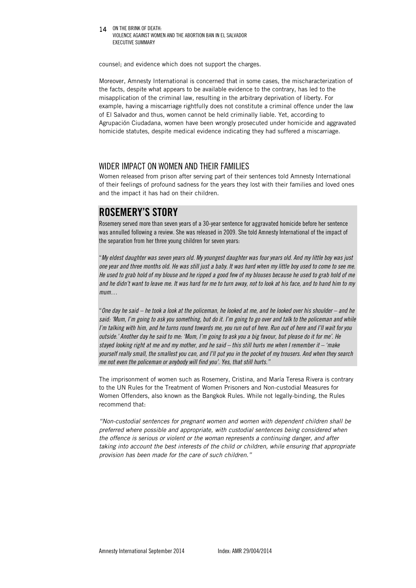counsel; and evidence which does not support the charges.

Moreover, Amnesty International is concerned that in some cases, the mischaracterization of the facts, despite what appears to be available evidence to the contrary, has led to the misapplication of the criminal law, resulting in the arbitrary deprivation of liberty. For example, having a miscarriage rightfully does not constitute a criminal offence under the law of El Salvador and thus, women cannot be held criminally liable. Yet, according to Agrupación Ciudadana, women have been wrongly prosecuted under homicide and aggravated homicide statutes, despite medical evidence indicating they had suffered a miscarriage.

#### WIDER IMPACT ON WOMEN AND THEIR FAMILIES

Women released from prison after serving part of their sentences told Amnesty International of their feelings of profound sadness for the years they lost with their families and loved ones and the impact it has had on their children.

#### ROSEMERY'S STORY

Rosemery served more than seven years of a 30-year sentence for aggravated homicide before her sentence was annulled following a review. She was released in 2009. She told Amnesty International of the impact of the separation from her three young children for seven years:

"*My eldest daughter was seven years old. My youngest daughter was four years old. And my little boy was just one year and three months old. He was still just a baby. It was hard when my little boy used to come to see me. He used to grab hold of my blouse and he ripped a good few of my blouses because he used to grab hold of me and he didn't want to leave me. It was hard for me to turn away, not to look at his face, and to hand him to my mum…*

"*One day he said – he took a look at the policeman, he looked at me, and he looked over his shoulder – and he said: 'Mum, I'm going to ask you something, but do it. I'm going to go over and talk to the policeman and while I'm talking with him, and he turns round towards me, you run out of here. Run out of here and I'll wait for you outside.' Another day he said to me: 'Mum, I'm going to ask you a big favour, but please do it for me'. He stayed looking right at me and my mother, and he said – this still hurts me when I remember it – 'make yourself really small, the smallest you can, and I'll put you in the pocket of my trousers. And when they search me not even the policeman or anybody will find you'. Yes, that still hurts."*

The imprisonment of women such as Rosemery, Cristina, and María Teresa Rivera is contrary to the UN Rules for the Treatment of Women Prisoners and Non-custodial Measures for Women Offenders, also known as the Bangkok Rules. While not legally-binding, the Rules recommend that:

*"Non-custodial sentences for pregnant women and women with dependent children shall be preferred where possible and appropriate, with custodial sentences being considered when the offence is serious or violent or the woman represents a continuing danger, and after taking into account the best interests of the child or children, while ensuring that appropriate provision has been made for the care of such children."*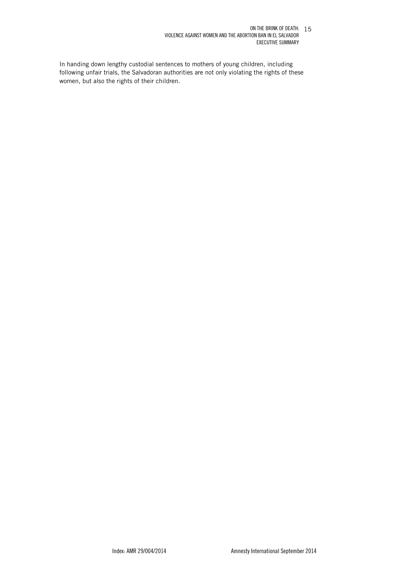In handing down lengthy custodial sentences to mothers of young children, including following unfair trials, the Salvadoran authorities are not only violating the rights of these women, but also the rights of their children.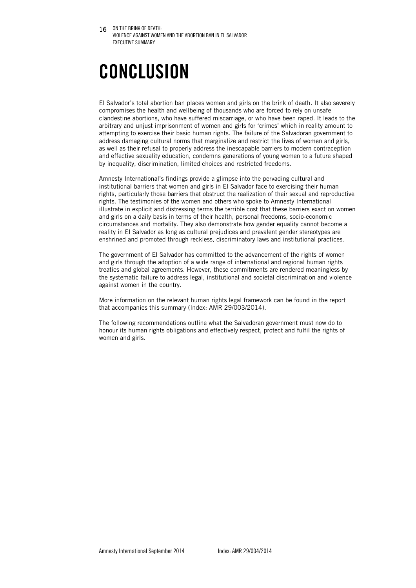### **CONCLUSION**

El Salvador's total abortion ban places women and girls on the brink of death. It also severely compromises the health and wellbeing of thousands who are forced to rely on unsafe clandestine abortions, who have suffered miscarriage, or who have been raped. It leads to the arbitrary and unjust imprisonment of women and girls for 'crimes' which in reality amount to attempting to exercise their basic human rights. The failure of the Salvadoran government to address damaging cultural norms that marginalize and restrict the lives of women and girls, as well as their refusal to properly address the inescapable barriers to modern contraception and effective sexuality education, condemns generations of young women to a future shaped by inequality, discrimination, limited choices and restricted freedoms.

Amnesty International's findings provide a glimpse into the pervading cultural and institutional barriers that women and girls in El Salvador face to exercising their human rights, particularly those barriers that obstruct the realization of their sexual and reproductive rights. The testimonies of the women and others who spoke to Amnesty International illustrate in explicit and distressing terms the terrible cost that these barriers exact on women and girls on a daily basis in terms of their health, personal freedoms, socio-economic circumstances and mortality. They also demonstrate how gender equality cannot become a reality in El Salvador as long as cultural prejudices and prevalent gender stereotypes are enshrined and promoted through reckless, discriminatory laws and institutional practices.

The government of El Salvador has committed to the advancement of the rights of women and girls through the adoption of a wide range of international and regional human rights treaties and global agreements. However, these commitments are rendered meaningless by the systematic failure to address legal, institutional and societal discrimination and violence against women in the country.

More information on the relevant human rights legal framework can be found in the report that accompanies this summary (Index: AMR 29/003/2014).

The following recommendations outline what the Salvadoran government must now do to honour its human rights obligations and effectively respect, protect and fulfil the rights of women and girls.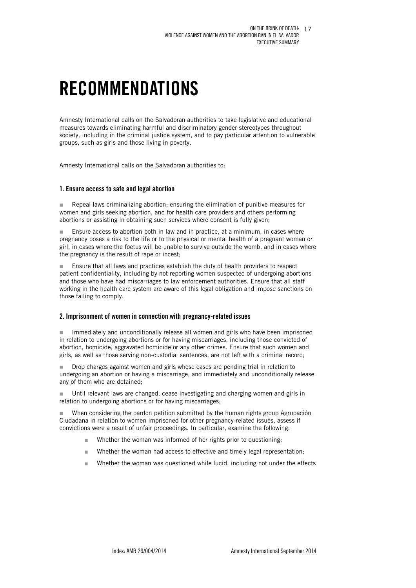### RECOMMENDATIONS

Amnesty International calls on the Salvadoran authorities to take legislative and educational measures towards eliminating harmful and discriminatory gender stereotypes throughout society, including in the criminal justice system, and to pay particular attention to vulnerable groups, such as girls and those living in poverty.

Amnesty International calls on the Salvadoran authorities to:

#### 1. Ensure access to safe and legal abortion

Repeal laws criminalizing abortion; ensuring the elimination of punitive measures for women and girls seeking abortion, and for health care providers and others performing abortions or assisting in obtaining such services where consent is fully given;

**Ensure access to abortion both in law and in practice, at a minimum, in cases where** pregnancy poses a risk to the life or to the physical or mental health of a pregnant woman or girl, in cases where the foetus will be unable to survive outside the womb, and in cases where the pregnancy is the result of rape or incest;

 Ensure that all laws and practices establish the duty of health providers to respect patient confidentiality, including by not reporting women suspected of undergoing abortions and those who have had miscarriages to law enforcement authorities. Ensure that all staff working in the health care system are aware of this legal obligation and impose sanctions on those failing to comply.

#### 2. Imprisonment of women in connection with pregnancy-related issues

Immediately and unconditionally release all women and girls who have been imprisoned in relation to undergoing abortions or for having miscarriages, including those convicted of abortion, homicide, aggravated homicide or any other crimes. Ensure that such women and girls, as well as those serving non-custodial sentences, are not left with a criminal record;

**Drop charges against women and girls whose cases are pending trial in relation to** undergoing an abortion or having a miscarriage, and immediately and unconditionally release any of them who are detained;

 Until relevant laws are changed, cease investigating and charging women and girls in relation to undergoing abortions or for having miscarriages;

 When considering the pardon petition submitted by the human rights group Agrupación Ciudadana in relation to women imprisoned for other pregnancy-related issues, assess if convictions were a result of unfair proceedings. In particular, examine the following:

- $\blacksquare$  Whether the woman was informed of her rights prior to questioning:
- Whether the woman had access to effective and timely legal representation;
- Whether the woman was questioned while lucid, including not under the effects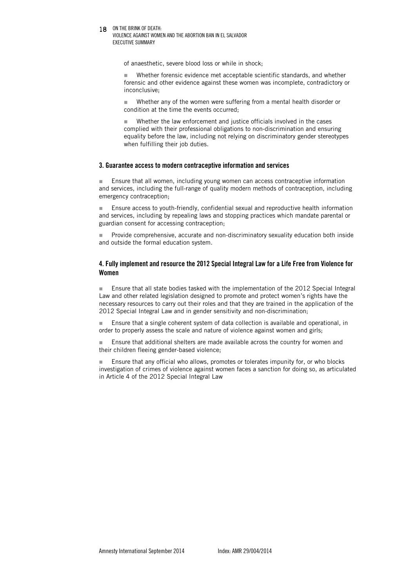of anaesthetic, severe blood loss or while in shock;

■ Whether forensic evidence met acceptable scientific standards, and whether forensic and other evidence against these women was incomplete, contradictory or inconclusive;

 Whether any of the women were suffering from a mental health disorder or condition at the time the events occurred;

 Whether the law enforcement and justice officials involved in the cases complied with their professional obligations to non-discrimination and ensuring equality before the law, including not relying on discriminatory gender stereotypes when fulfilling their job duties.

#### 3. Guarantee access to modern contraceptive information and services

**Ensure that all women, including young women can access contraceptive information** and services, including the full-range of quality modern methods of contraception, including emergency contraception;

 Ensure access to youth-friendly, confidential sexual and reproductive health information and services, including by repealing laws and stopping practices which mandate parental or guardian consent for accessing contraception;

 Provide comprehensive, accurate and non-discriminatory sexuality education both inside and outside the formal education system.

#### 4. Fully implement and resource the 2012 Special Integral Law for a Life Free from Violence for Women

 Ensure that all state bodies tasked with the implementation of the 2012 Special Integral Law and other related legislation designed to promote and protect women's rights have the necessary resources to carry out their roles and that they are trained in the application of the 2012 Special Integral Law and in gender sensitivity and non-discrimination;

 Ensure that a single coherent system of data collection is available and operational, in order to properly assess the scale and nature of violence against women and girls;

 Ensure that additional shelters are made available across the country for women and their children fleeing gender-based violence;

 Ensure that any official who allows, promotes or tolerates impunity for, or who blocks investigation of crimes of violence against women faces a sanction for doing so, as articulated in Article 4 of the 2012 Special Integral Law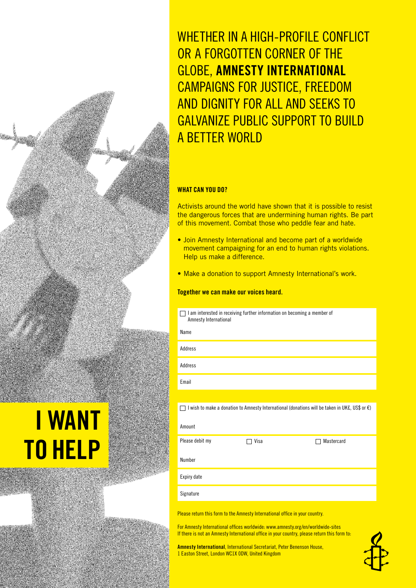WHETHER IN A HIGH-PROFILE CONFLICT OR A FORGOTTEN CORNER OF THE GLOBE, AMNESTY INTERNATIONAL CAMPAIGNS FOR JUSTICE, FREEDOM AND DIGNITY FOR ALL AND SEEKS TO GALVANIZE PUBLIC SUPPORT TO BUILD A BETTER WORLD

#### WHAT CAN YOU DO?

Activists around the world have shown that it is possible to resist the dangerous forces that are undermining human rights. Be part of this movement. Combat those who peddle fear and hate.

- Join Amnesty International and become part of a worldwide movement campaigning for an end to human rights violations. Help us make a difference.
- Make a donation to support Amnesty International's work.

#### Together we can make our voices heard.

 $\Box$  I am interested in receiving further information on becoming a member of Amnesty International

#### Name

| Address                                                                                                         |
|-----------------------------------------------------------------------------------------------------------------|
| Address                                                                                                         |
| Email                                                                                                           |
|                                                                                                                 |
| $\Box$ I wish to make a donation to Amnesty International (donations will be taken in UK£, US\$ or $\epsilon$ ) |
| Amount                                                                                                          |
| Please debit my<br>Mastercard<br>Visa                                                                           |
| Number                                                                                                          |
| Expiry date                                                                                                     |
| Signature                                                                                                       |

Please return this form to the Amnesty International office in your country.

For Amnesty International offices worldwide: www.amnesty.org/en/worldwide-sites If there is not an Amnesty International office in your country, please return this form to:

Amnesty International, International Secretariat, Peter Benenson House, 1 Easton Street, London WC1X 0DW, United Kingdom



# I WANT TO HELP